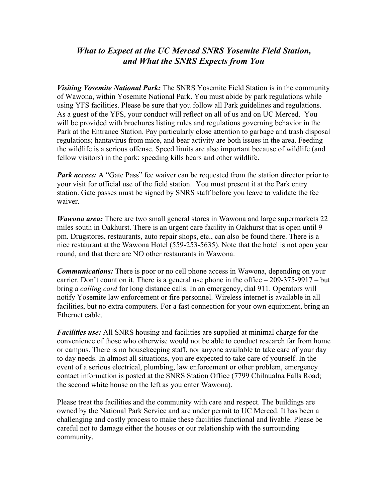# *What to Expect at the UC Merced SNRS Yosemite Field Station, and What the SNRS Expects from You*

*Visiting Yosemite National Park:* The SNRS Yosemite Field Station is in the community of Wawona, within Yosemite National Park. You must abide by park regulations while using YFS facilities. Please be sure that you follow all Park guidelines and regulations. As a guest of the YFS, your conduct will reflect on all of us and on UC Merced. You will be provided with brochures listing rules and regulations governing behavior in the Park at the Entrance Station. Pay particularly close attention to garbage and trash disposal regulations; hantavirus from mice, and bear activity are both issues in the area. Feeding the wildlife is a serious offense. Speed limits are also important because of wildlife (and fellow visitors) in the park; speeding kills bears and other wildlife.

*Park access:* A "Gate Pass" fee waiver can be requested from the station director prior to your visit for official use of the field station. You must present it at the Park entry station. Gate passes must be signed by SNRS staff before you leave to validate the fee waiver.

*Wawona area:* There are two small general stores in Wawona and large supermarkets 22 miles south in Oakhurst. There is an urgent care facility in Oakhurst that is open until 9 pm. Drugstores, restaurants, auto repair shops, etc., can also be found there. There is a nice restaurant at the Wawona Hotel (559-253-5635). Note that the hotel is not open year round, and that there are NO other restaurants in Wawona.

*Communications:* There is poor or no cell phone access in Wawona, depending on your carrier. Don't count on it. There is a general use phone in the office  $-209-375-9917 - but$ bring a *calling card* for long distance calls. In an emergency, dial 911. Operators will notify Yosemite law enforcement or fire personnel. Wireless internet is available in all facilities, but no extra computers. For a fast connection for your own equipment, bring an Ethernet cable.

*Facilities use:* All SNRS housing and facilities are supplied at minimal charge for the convenience of those who otherwise would not be able to conduct research far from home or campus. There is no housekeeping staff, nor anyone available to take care of your day to day needs. In almost all situations, you are expected to take care of yourself. In the event of a serious electrical, plumbing, law enforcement or other problem, emergency contact information is posted at the SNRS Station Office (7799 Chilnualna Falls Road; the second white house on the left as you enter Wawona).

Please treat the facilities and the community with care and respect. The buildings are owned by the National Park Service and are under permit to UC Merced. It has been a challenging and costly process to make these facilities functional and livable. Please be careful not to damage either the houses or our relationship with the surrounding community.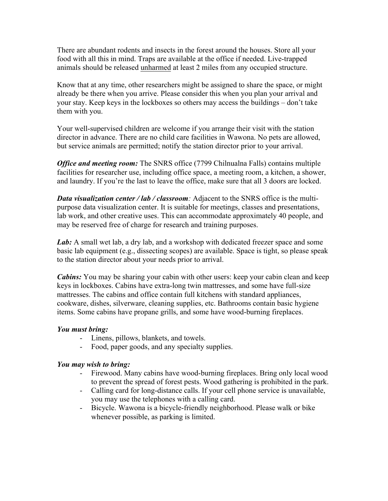There are abundant rodents and insects in the forest around the houses. Store all your food with all this in mind. Traps are available at the office if needed. Live-trapped animals should be released unharmed at least 2 miles from any occupied structure.

Know that at any time, other researchers might be assigned to share the space, or might already be there when you arrive. Please consider this when you plan your arrival and your stay. Keep keys in the lockboxes so others may access the buildings – don't take them with you.

Your well-supervised children are welcome if you arrange their visit with the station director in advance. There are no child care facilities in Wawona. No pets are allowed, but service animals are permitted; notify the station director prior to your arrival.

*Office and meeting room:* The SNRS office (7799 Chilnualna Falls) contains multiple facilities for researcher use, including office space, a meeting room, a kitchen, a shower, and laundry. If you're the last to leave the office, make sure that all 3 doors are locked.

*Data visualization center / lab / classroom:* Adjacent to the SNRS office is the multipurpose data visualization center. It is suitable for meetings, classes and presentations, lab work, and other creative uses. This can accommodate approximately 40 people, and may be reserved free of charge for research and training purposes.

Lab: A small wet lab, a dry lab, and a workshop with dedicated freezer space and some basic lab equipment (e.g., dissecting scopes) are available. Space is tight, so please speak to the station director about your needs prior to arrival.

*Cabins:* You may be sharing your cabin with other users: keep your cabin clean and keep keys in lockboxes. Cabins have extra-long twin mattresses, and some have full-size mattresses. The cabins and office contain full kitchens with standard appliances, cookware, dishes, silverware, cleaning supplies, etc. Bathrooms contain basic hygiene items. Some cabins have propane grills, and some have wood-burning fireplaces.

## *You must bring:*

- Linens, pillows, blankets, and towels.
- Food, paper goods, and any specialty supplies.

## *You may wish to bring:*

- Firewood. Many cabins have wood-burning fireplaces. Bring only local wood to prevent the spread of forest pests. Wood gathering is prohibited in the park.
- Calling card for long-distance calls. If your cell phone service is unavailable, you may use the telephones with a calling card.
- Bicycle. Wawona is a bicycle-friendly neighborhood. Please walk or bike whenever possible, as parking is limited.